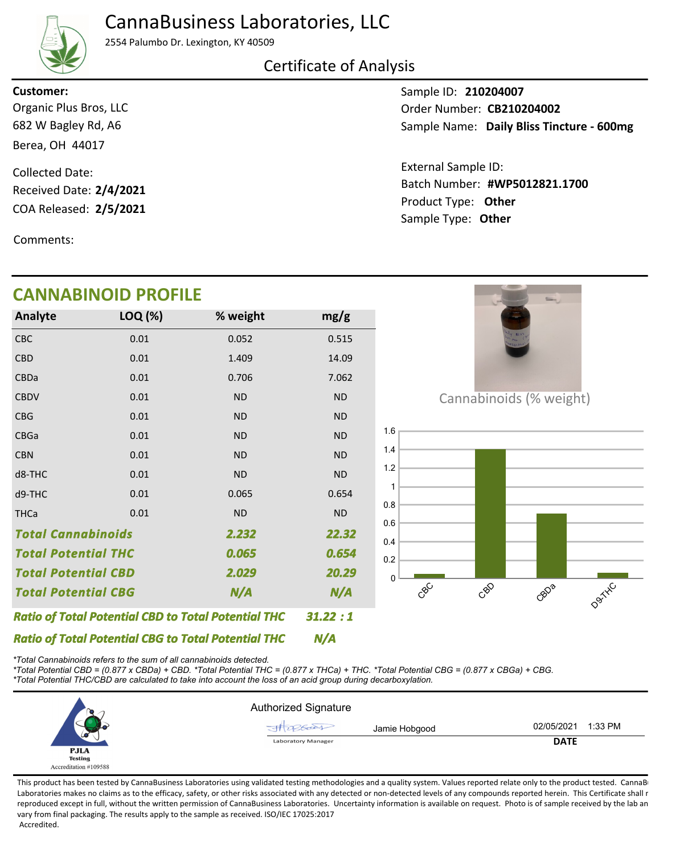## CannaBusiness Laboratories, LLC



2554 Palumbo Dr. Lexington, KY 40509

### Certificate of Analysis

**Customer:**

682 W Bagley Rd, A6 Berea, OH 44017 Organic Plus Bros, LLC

COA Released: 2/5/2021 Collected Date: Received Date: **2/4/2021**

**CANNABINOID PROFILE**

Comments:

Sample ID: **210204007** Sample Name: Daily Bliss Tincture - 600mg Order Number: CB210204002

Product Type: **Other 2/5/2021 #WP5012821.1700** Batch Number: External Sample ID: Sample Type: **Other**

|                                                            | <b>CANNABINOID PROFILE</b> |                                                            |           |
|------------------------------------------------------------|----------------------------|------------------------------------------------------------|-----------|
| Analyte                                                    | LOQ (%)                    | % weight                                                   | mg/g      |
| <b>CBC</b>                                                 | 0.01                       | 0.052                                                      | 0.515     |
| <b>CBD</b>                                                 | 0.01                       | 1.409                                                      | 14.09     |
| CBDa                                                       | 0.01                       | 0.706                                                      | 7.062     |
| <b>CBDV</b>                                                | 0.01                       | <b>ND</b>                                                  | <b>ND</b> |
| <b>CBG</b>                                                 | 0.01                       | <b>ND</b>                                                  | <b>ND</b> |
| CBGa                                                       | 0.01                       | <b>ND</b>                                                  | <b>ND</b> |
| <b>CBN</b>                                                 | 0.01                       | <b>ND</b>                                                  | $\sf ND$  |
| d8-THC                                                     | 0.01                       | <b>ND</b>                                                  | <b>ND</b> |
| d9-THC                                                     | 0.01                       | 0.065                                                      | 0.654     |
| <b>THCa</b>                                                | 0.01                       | <b>ND</b>                                                  | $\sf ND$  |
| <b>Total Cannabinoids</b><br>2.232                         |                            | 22.32                                                      |           |
| <b>Total Potential THC</b>                                 |                            | 0.065                                                      | 0.654     |
| <b>Total Potential CBD</b>                                 |                            | 2.029                                                      | 20.29     |
| <b>Total Potential CBG</b><br>N/A                          |                            | N/A                                                        |           |
|                                                            |                            | <b>Ratio of Total Potential CBD to Total Potential THC</b> | 31.22:1   |
| <b>Ratio of Total Potential CBG to Total Potential THC</b> |                            |                                                            | N/A       |

*\*Total Cannabinoids refers to the sum of all cannabinoids detected.*

*\*Total Potential CBD = (0.877 x CBDa) + CBD. \*Total Potential THC = (0.877 x THCa) + THC. \*Total Potential CBG = (0.877 x CBGa) + CBG. \*Total Potential THC/CBD are calculated to take into account the loss of an acid group during decarboxylation.*



This product has been tested by CannaBusiness Laboratories using validated testing methodologies and a quality system. Values reported relate only to the product tested. CannaB Laboratories makes no claims as to the efficacy, safety, or other risks associated with any detected or non-detected levels of any compounds reported herein. This Certificate shall r reproduced except in full, without the written permission of CannaBusiness Laboratories. Uncertainty information is available on request. Photo is of sample received by the lab an vary from final packaging. The results apply to the sample as received. ISO/IEC 17025:2017 Accredited.